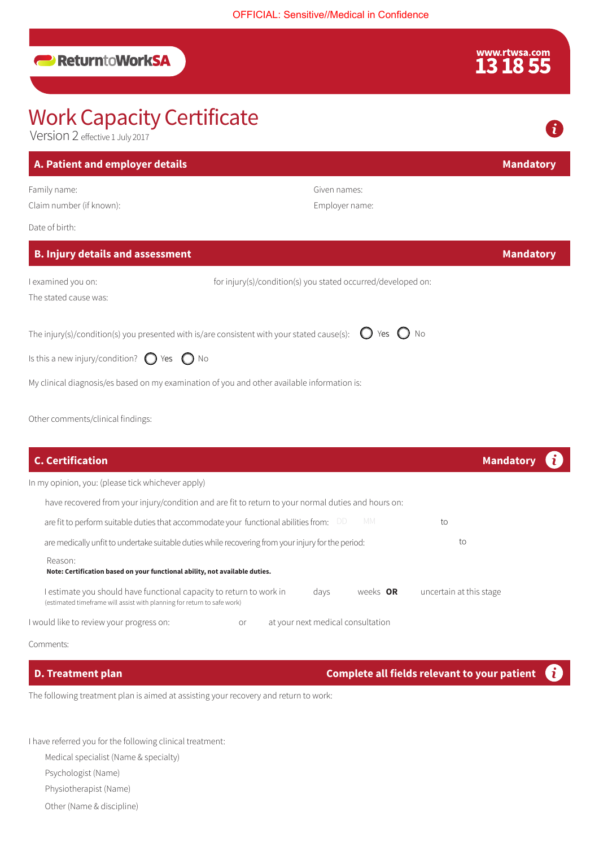## **ReturntoWorkSA**

# www.rtwsa.com<br>**13 18 55**

## Work Capacity Certificate Version 2 effective 1 July 2017 **A. Patient and employer details Mandatory Mandatory Mandatory** Family name: Given names: Claim number (if known): Employer name: Date of birth: **B. Injury details and assessment Mandatory Mandatory Mandatory** I examined you on: for injury(s)/condition(s) you stated occurred/developed on: The stated cause was: The injury(s)/condition(s) you presented with is/are consistent with your stated cause(s):  $\;\bigcup\;$  Yes  $\;\bigcup\;$  No Is this a new injury/condition?  $\bigcirc$  Yes  $\bigcirc$  No My clinical diagnosis/es based on my examination of you and other available information is: Other comments/clinical findings:

| <b>C. Certification</b>                                                                                                                                          | Mandatory               |
|------------------------------------------------------------------------------------------------------------------------------------------------------------------|-------------------------|
| In my opinion, you: (please tick whichever apply)                                                                                                                |                         |
| have recovered from your injury/condition and are fit to return to your normal duties and hours on:                                                              |                         |
| MM.<br>are fit to perform suitable duties that accommodate your functional abilities from:                                                                       | to                      |
| are medically unfit to undertake suitable duties while recovering from your injury for the period:                                                               | to                      |
| Reason:<br>Note: Certification based on your functional ability, not available duties.                                                                           |                         |
| weeks OR<br>estimate you should have functional capacity to return to work in<br>days<br>(estimated timeframe will assist with planning for return to safe work) | uncertain at this stage |
| I would like to review your progress on:<br>at your next medical consultation<br>or                                                                              |                         |

Comments:

The following treatment plan is aimed at assisting your recovery and return to work:

I have referred you for the following clinical treatment:

Medical specialist (Name & specialty)

Psychologist (Name)

Physiotherapist (Name)

Other (Name & discipline)

**D. Treatment plan Complete all fields relevant to your patient** Ĩ